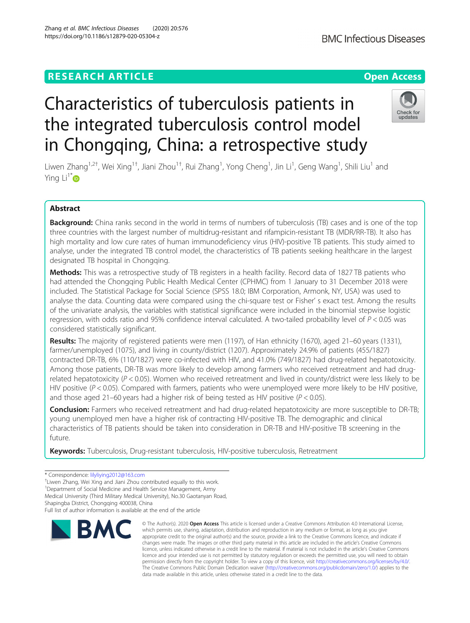# **RESEARCH ARTICLE Example 2014 12:30 The Contract of Contract ACCESS**

# Characteristics of tuberculosis patients in the integrated tuberculosis control model in Chongqing, China: a retrospective study

Liwen Zhang<sup>1,2†</sup>, Wei Xing<sup>1†</sup>, Jiani Zhou<sup>1†</sup>, Rui Zhang<sup>1</sup>, Yong Cheng<sup>1</sup>, Jin Li<sup>1</sup>, Geng Wang<sup>1</sup>, Shili Liu<sup>1</sup> and Ying  $Li$ <sup>1[\\*](http://orcid.org/0000-0002-8017-1488)</sup> $\bullet$ 

# Abstract

Background: China ranks second in the world in terms of numbers of tuberculosis (TB) cases and is one of the top three countries with the largest number of multidrug-resistant and rifampicin-resistant TB (MDR/RR-TB). It also has high mortality and low cure rates of human immunodeficiency virus (HIV)-positive TB patients. This study aimed to analyse, under the integrated TB control model, the characteristics of TB patients seeking healthcare in the largest designated TB hospital in Chongqing.

Methods: This was a retrospective study of TB registers in a health facility. Record data of 1827 TB patients who had attended the Chongqing Public Health Medical Center (CPHMC) from 1 January to 31 December 2018 were included. The Statistical Package for Social Science (SPSS 18.0; IBM Corporation, Armonk, NY, USA) was used to analyse the data. Counting data were compared using the chi-square test or Fisher' s exact test. Among the results of the univariate analysis, the variables with statistical significance were included in the binomial stepwise logistic regression, with odds ratio and 95% confidence interval calculated. A two-tailed probability level of  $P < 0.05$  was considered statistically significant.

Results: The majority of registered patients were men (1197), of Han ethnicity (1670), aged 21-60 years (1331), farmer/unemployed (1075), and living in county/district (1207). Approximately 24.9% of patients (455/1827) contracted DR-TB, 6% (110/1827) were co-infected with HIV, and 41.0% (749/1827) had drug-related hepatotoxicity. Among those patients, DR-TB was more likely to develop among farmers who received retreatment and had drugrelated hepatotoxicity ( $P < 0.05$ ). Women who received retreatment and lived in county/district were less likely to be HIV positive ( $P < 0.05$ ). Compared with farmers, patients who were unemployed were more likely to be HIV positive, and those aged 21–60 years had a higher risk of being tested as HIV positive ( $P < 0.05$ ).

Conclusion: Farmers who received retreatment and had drug-related hepatotoxicity are more susceptible to DR-TB; young unemployed men have a higher risk of contracting HIV-positive TB. The demographic and clinical characteristics of TB patients should be taken into consideration in DR-TB and HIV-positive TB screening in the future.

Keywords: Tuberculosis, Drug-resistant tuberculosis, HIV-positive tuberculosis, Retreatment



© The Author(s), 2020 **Open Access** This article is licensed under a Creative Commons Attribution 4.0 International License,





<sup>\*</sup> Correspondence: [lilyliying2012@163.com](mailto:lilyliying2012@163.com) †

<sup>&</sup>lt;sup>+</sup>Liwen Zhang, Wei Xing and Jiani Zhou contributed equally to this work.

<sup>&</sup>lt;sup>1</sup>Department of Social Medicine and Health Service Management, Army

Medical University (Third Military Medical University), No.30 Gaotanyan Road,

Shapingba District, Chongqing 400038, China

Full list of author information is available at the end of the article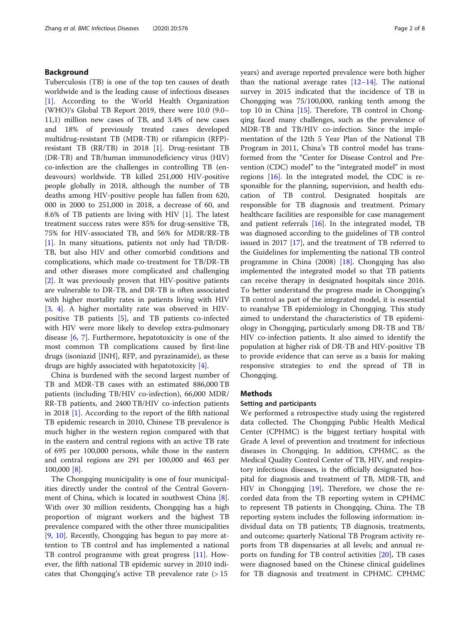# Background

Tuberculosis (TB) is one of the top ten causes of death worldwide and is the leading cause of infectious diseases [[1\]](#page-6-0). According to the World Health Organization (WHO)'s Global TB Report 2019, there were 10.0 (9.0– 11,1) million new cases of TB, and 3.4% of new cases and 18% of previously treated cases developed multidrug-resistant TB (MDR-TB) or rifampicin (RFP) resistant TB (RR/TB) in 2018 [[1](#page-6-0)]. Drug-resistant TB (DR-TB) and TB/human immunodeficiency virus (HIV) co-infection are the challenges in controlling TB (endeavours) worldwide. TB killed 251,000 HIV-positive people globally in 2018, although the number of TB deaths among HIV-positive people has fallen from 620, 000 in 2000 to 251,000 in 2018, a decrease of 60, and 8.6% of TB patients are living with HIV [\[1](#page-6-0)]. The latest treatment success rates were 85% for drug-sensitive TB, 75% for HIV-associated TB, and 56% for MDR/RR-TB [[1\]](#page-6-0). In many situations, patients not only had TB/DR-TB, but also HIV and other comorbid conditions and complications, which made co-treatment for TB/DR-TB and other diseases more complicated and challenging [[2\]](#page-6-0). It was previously proven that HIV-positive patients are vulnerable to DR-TB, and DR-TB is often associated with higher mortality rates in patients living with HIV [[3,](#page-6-0) [4](#page-6-0)]. A higher mortality rate was observed in HIVpositive TB patients [[5\]](#page-6-0), and TB patients co-infected with HIV were more likely to develop extra-pulmonary disease [\[6](#page-6-0), [7](#page-7-0)]. Furthermore, hepatotoxicity is one of the most common TB complications caused by first-line drugs (isoniazid [INH], RFP, and pyrazinamide), as these drugs are highly associated with hepatotoxicity [\[4](#page-6-0)].

China is burdened with the second largest number of TB and MDR-TB cases with an estimated 886,000 TB patients (including TB/HIV co-infection), 66,000 MDR/ RR-TB patients, and 2400 TB/HIV co-infection patients in 2018 [\[1](#page-6-0)]. According to the report of the fifth national TB epidemic research in 2010, Chinese TB prevalence is much higher in the western region compared with that in the eastern and central regions with an active TB rate of 695 per 100,000 persons, while those in the eastern and central regions are 291 per 100,000 and 463 per 100,000 [\[8](#page-7-0)].

The Chongqing municipality is one of four municipalities directly under the control of the Central Government of China, which is located in southwest China [\[8](#page-7-0)]. With over 30 million residents, Chongqing has a high proportion of migrant workers and the highest TB prevalence compared with the other three municipalities [[9,](#page-7-0) [10](#page-7-0)]. Recently, Chongqing has begun to pay more attention to TB control and has implemented a national TB control programme with great progress [[11\]](#page-7-0). However, the fifth national TB epidemic survey in 2010 indicates that Chongqing's active TB prevalence rate  $(>15$ 

years) and average reported prevalence were both higher than the national average rates  $[12-14]$  $[12-14]$  $[12-14]$  $[12-14]$ . The national survey in 2015 indicated that the incidence of TB in Chongqing was 75/100,000, ranking tenth among the top 10 in China [[15\]](#page-7-0). Therefore, TB control in Chongqing faced many challenges, such as the prevalence of MDR-TB and TB/HIV co-infection. Since the implementation of the 12th 5 Year Plan of the National TB Program in 2011, China's TB control model has transformed from the "Center for Disease Control and Prevention (CDC) model" to the "integrated model" in most regions [\[16](#page-7-0)]. In the integrated model, the CDC is responsible for the planning, supervision, and health education of TB control. Designated hospitals are responsible for TB diagnosis and treatment. Primary healthcare facilities are responsible for case management and patient referrals  $[16]$  $[16]$ . In the integrated model, TB was diagnosed according to the guidelines of TB control issued in 2017 [[17\]](#page-7-0), and the treatment of TB referred to the Guidelines for implementing the national TB control programme in China (2008) [[18\]](#page-7-0). Chongqing has also implemented the integrated model so that TB patients can receive therapy in designated hospitals since 2016. To better understand the progress made in Chongqing's TB control as part of the integrated model, it is essential to reanalyse TB epidemiology in Chongqing. This study aimed to understand the characteristics of TB epidemiology in Chongqing, particularly among DR-TB and TB/ HIV co-infection patients. It also aimed to identify the population at higher risk of DR-TB and HIV-positive TB to provide evidence that can serve as a basis for making responsive strategies to end the spread of TB in Chongqing.

#### Methods

# Setting and participants

We performed a retrospective study using the registered data collected. The Chongqing Public Health Medical Center (CPHMC) is the biggest tertiary hospital with Grade A level of prevention and treatment for infectious diseases in Chongqing. In addition, CPHMC, as the Medical Quality Control Center of TB, HIV, and respiratory infectious diseases, is the officially designated hospital for diagnosis and treatment of TB, MDR-TB, and HIV in Chongqing [[19\]](#page-7-0). Therefore, we chose the recorded data from the TB reporting system in CPHMC to represent TB patients in Chongqing, China. The TB reporting system includes the following information: individual data on TB patients; TB diagnosis, treatments, and outcome; quarterly National TB Program activity reports from TB dispensaries at all levels; and annual reports on funding for TB control activities [\[20](#page-7-0)]. TB cases were diagnosed based on the Chinese clinical guidelines for TB diagnosis and treatment in CPHMC. CPHMC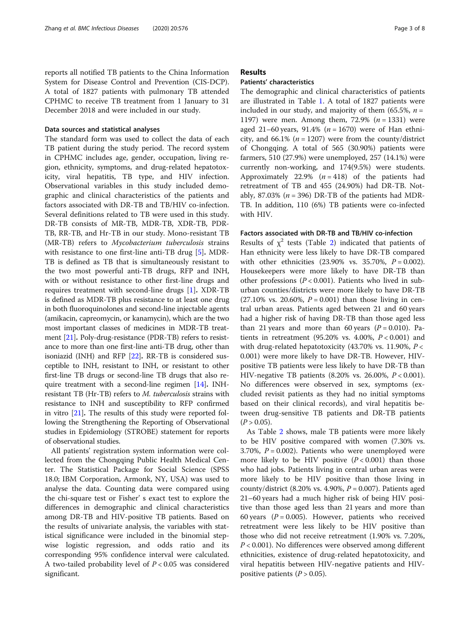reports all notified TB patients to the China Information System for Disease Control and Prevention (CIS-DCP). A total of 1827 patients with pulmonary TB attended CPHMC to receive TB treatment from 1 January to 31 December 2018 and were included in our study.

## Data sources and statistical analyses

The standard form was used to collect the data of each TB patient during the study period. The record system in CPHMC includes age, gender, occupation, living region, ethnicity, symptoms, and drug-related hepatotoxicity, viral hepatitis, TB type, and HIV infection. Observational variables in this study included demographic and clinical characteristics of the patients and factors associated with DR-TB and TB/HIV co-infection. Several definitions related to TB were used in this study. DR-TB consists of MR-TB, MDR-TB, XDR-TB, PDR-TB, RR-TB, and Hr-TB in our study. Mono-resistant TB (MR-TB) refers to Mycobacterium tuberculosis strains with resistance to one first-line anti-TB drug [[5\]](#page-6-0). MDR-TB is defined as TB that is simultaneously resistant to the two most powerful anti-TB drugs, RFP and INH, with or without resistance to other first-line drugs and requires treatment with second-line drugs [\[1](#page-6-0)]. XDR-TB is defined as MDR-TB plus resistance to at least one drug in both fluoroquinolones and second-line injectable agents (amikacin, capreomycin, or kanamycin), which are the two most important classes of medicines in MDR-TB treatment [[21](#page-7-0)]. Poly-drug-resistance (PDR-TB) refers to resistance to more than one first-line anti-TB drug, other than isoniazid (INH) and RFP [\[22\]](#page-7-0). RR-TB is considered susceptible to INH, resistant to INH, or resistant to other first-line TB drugs or second-line TB drugs that also require treatment with a second-line regimen [\[14\]](#page-7-0). INHresistant TB (Hr-TB) refers to M. tuberculosis strains with resistance to INH and susceptibility to RFP confirmed in vitro [\[21](#page-7-0)]. The results of this study were reported following the Strengthening the Reporting of Observational studies in Epidemiology (STROBE) statement for reports of observational studies.

All patients' registration system information were collected from the Chongqing Public Health Medical Center. The Statistical Package for Social Science (SPSS 18.0; IBM Corporation, Armonk, NY, USA) was used to analyse the data. Counting data were compared using the chi-square test or Fisher' s exact test to explore the differences in demographic and clinical characteristics among DR-TB and HIV-positive TB patients. Based on the results of univariate analysis, the variables with statistical significance were included in the binomial stepwise logistic regression, and odds ratio and its corresponding 95% confidence interval were calculated. A two-tailed probability level of  $P < 0.05$  was considered significant.

# Results

# Patients' characteristics

The demographic and clinical characteristics of patients are illustrated in Table [1](#page-3-0). A total of 1827 patients were included in our study, and majority of them (65.5%,  $n =$ 1197) were men. Among them, 72.9%  $(n = 1331)$  were aged 21–60 years, 91.4% ( $n = 1670$ ) were of Han ethnicity, and 66.1% ( $n = 1207$ ) were from the county/district of Chongqing. A total of 565 (30.90%) patients were farmers, 510 (27.9%) were unemployed, 257 (14.1%) were currently non-working, and 174(9.5%) were students. Approximately 22.9%  $(n = 418)$  of the patients had retreatment of TB and 455 (24.90%) had DR-TB. Notably, 87.03% ( $n = 396$ ) DR-TB of the patients had MDR-TB. In addition, 110 (6%) TB patients were co-infected with HIV.

#### Factors associated with DR-TB and TB/HIV co-infection

Results of  $\chi^2$  $\chi^2$  tests (Table 2) indicated that patients of Han ethnicity were less likely to have DR-TB compared with other ethnicities  $(23.90\% \text{ vs. } 35.70\%, P = 0.002)$ . Housekeepers were more likely to have DR-TB than other professions ( $P < 0.001$ ). Patients who lived in suburban counties/districts were more likely to have DR-TB  $(27.10\% \text{ vs. } 20.60\%, P = 0.001)$  than those living in central urban areas. Patients aged between 21 and 60 years had a higher risk of having DR-TB than those aged less than 21 years and more than 60 years  $(P = 0.010)$ . Patients in retreatment (95.20% vs. 4.00%,  $P < 0.001$ ) and with drug-related hepatotoxicity (43.70% vs. 11.90%,  $P <$ 0.001) were more likely to have DR-TB. However, HIVpositive TB patients were less likely to have DR-TB than HIV-negative TB patients (8.20% vs. 26.00%, P < 0.001). No differences were observed in sex, symptoms (excluded revisit patients as they had no initial symptoms based on their clinical records), and viral hepatitis between drug-sensitive TB patients and DR-TB patients  $(P > 0.05)$ .

As Table [2](#page-4-0) shows, male TB patients were more likely to be HIV positive compared with women (7.30% vs. 3.70%,  $P = 0.002$ ). Patients who were unemployed were more likely to be HIV positive  $(P < 0.001)$  than those who had jobs. Patients living in central urban areas were more likely to be HIV positive than those living in county/district (8.20% vs. 4.90%,  $P = 0.007$ ). Patients aged 21–60 years had a much higher risk of being HIV positive than those aged less than 21 years and more than 60 years ( $P = 0.005$ ). However, patients who received retreatment were less likely to be HIV positive than those who did not receive retreatment (1.90% vs. 7.20%,  $P < 0.001$ ). No differences were observed among different ethnicities, existence of drug-related hepatotoxicity, and viral hepatitis between HIV-negative patients and HIVpositive patients  $(P > 0.05)$ .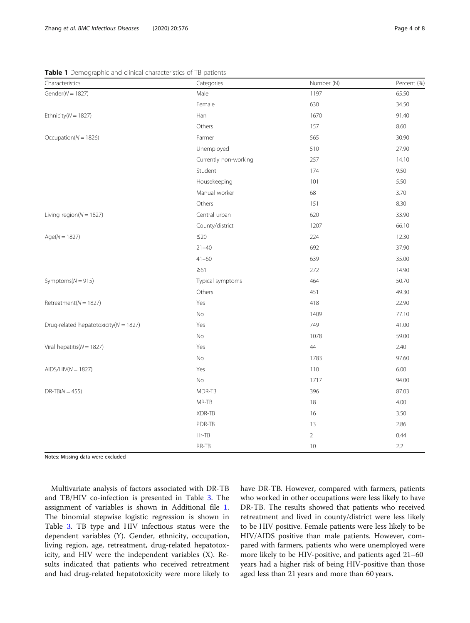| - 11<br>Characteristics                   | <b>11</b><br>Categories | Number (N)     | Percent (%) |
|-------------------------------------------|-------------------------|----------------|-------------|
| Gender( $N = 1827$ )                      | Male                    | 1197           | 65.50       |
|                                           | Female                  | 630            | 34.50       |
| Ethnicity( $N = 1827$ )                   | Han                     | 1670           | 91.40       |
|                                           | Others                  | 157            | 8.60        |
| Occupation( $N = 1826$ )                  | Farmer                  | 565            | 30.90       |
|                                           | Unemployed              | 510            | 27.90       |
|                                           | Currently non-working   | 257            | 14.10       |
|                                           | Student                 | 174            | 9.50        |
|                                           | Housekeeping            | 101            | 5.50        |
|                                           | Manual worker           | 68             | 3.70        |
|                                           | Others                  | 151            | 8.30        |
| Living region( $N = 1827$ )               | Central urban           | 620            | 33.90       |
|                                           | County/district         | 1207           | 66.10       |
| $Age(N = 1827)$                           | $\leq$ 20               | 224            | 12.30       |
|                                           | $21 - 40$               | 692            | 37.90       |
|                                           | $41 - 60$               | 639            | 35.00       |
|                                           | $\geq 61$               | 272            | 14.90       |
| Symptoms( $N = 915$ )                     | Typical symptoms        | 464            | 50.70       |
|                                           | Others                  | 451            | 49.30       |
| Retreatment( $N = 1827$ )                 | Yes                     | 418            | 22.90       |
|                                           | No                      | 1409           | 77.10       |
| Drug-related hepatotoxicity( $N = 1827$ ) | Yes                     | 749            | 41.00       |
|                                           | No                      | 1078           | 59.00       |
| Viral hepatitis( $N = 1827$ )             | Yes                     | 44             | 2.40        |
|                                           | No                      | 1783           | 97.60       |
| $AIDS/HIV(N = 1827)$                      | Yes                     | 110            | 6.00        |
|                                           | $\rm No$                | 1717           | 94.00       |
| $DR-TB(N=455)$                            | MDR-TB                  | 396            | 87.03       |
|                                           | $MR-TB$                 | $18\,$         | 4.00        |
|                                           | XDR-TB                  | 16             | 3.50        |
|                                           | PDR-TB                  | 13             | 2.86        |
|                                           | $Hr$ -TB                | $\overline{c}$ | 0.44        |
|                                           | $RR-TB$                 | 10             | 2.2         |

<span id="page-3-0"></span>Table 1 Demographic and clinical characteristics of TB patients

Notes: Missing data were excluded

Multivariate analysis of factors associated with DR-TB and TB/HIV co-infection is presented in Table [3.](#page-5-0) The assignment of variables is shown in Additional file [1](#page-6-0). The binomial stepwise logistic regression is shown in Table [3.](#page-5-0) TB type and HIV infectious status were the dependent variables (Y). Gender, ethnicity, occupation, living region, age, retreatment, drug-related hepatotoxicity, and HIV were the independent variables (X). Results indicated that patients who received retreatment and had drug-related hepatotoxicity were more likely to have DR-TB. However, compared with farmers, patients who worked in other occupations were less likely to have DR-TB. The results showed that patients who received retreatment and lived in county/district were less likely to be HIV positive. Female patients were less likely to be HIV/AIDS positive than male patients. However, compared with farmers, patients who were unemployed were more likely to be HIV-positive, and patients aged 21–60 years had a higher risk of being HIV-positive than those aged less than 21 years and more than 60 years.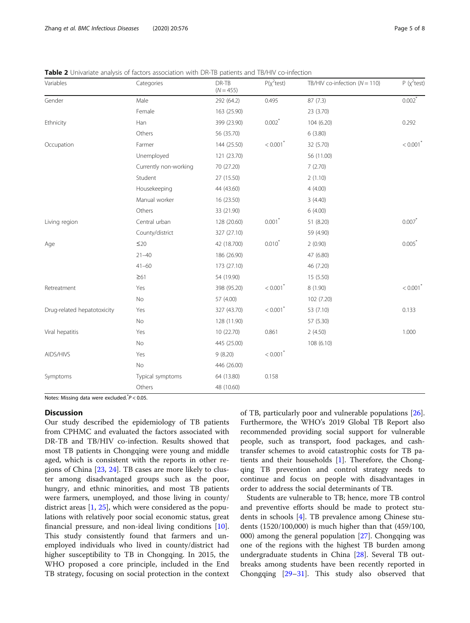| Variables                   | Categories            | DR-TB<br>$(N = 455)$ | $P(x^2test)$           | TB/HIV co-infection $(N = 110)$ | $P (x^2$ test)         |
|-----------------------------|-----------------------|----------------------|------------------------|---------------------------------|------------------------|
| Gender                      | Male                  | 292 (64.2)           | 0.495                  | 87 (7.3)                        | $0.002$ <sup>*</sup>   |
|                             | Female                | 163 (25.90)          |                        | 23 (3.70)                       |                        |
| Ethnicity                   | Han                   | 399 (23.90)          | $0.002$ <sup>*</sup>   | 104 (6.20)                      | 0.292                  |
|                             | Others                | 56 (35.70)           |                        | 6(3.80)                         |                        |
| Occupation                  | Farmer                | 144 (25.50)          | $< 0.001$ <sup>*</sup> | 32 (5.70)                       | $< 0.001$ <sup>*</sup> |
|                             | Unemployed            | 121 (23.70)          |                        | 56 (11.00)                      |                        |
|                             | Currently non-working | 70 (27.20)           |                        | 7(2.70)                         |                        |
|                             | Student               | 27 (15.50)           |                        | 2(1.10)                         |                        |
|                             | Housekeeping          | 44 (43.60)           |                        | 4(4.00)                         |                        |
|                             | Manual worker         | 16 (23.50)           |                        | 3(4.40)                         |                        |
|                             | Others                | 33 (21.90)           |                        | 6(4.00)                         |                        |
| Living region               | Central urban         | 128 (20.60)          | $0.001$ <sup>*</sup>   | 51 (8.20)                       | 0.007                  |
|                             | County/district       | 327 (27.10)          |                        | 59 (4.90)                       |                        |
| Age                         | $\leq$ 20             | 42 (18.700)          | $0.010^{*}$            | 2(0.90)                         | $0.005*$               |
|                             | $21 - 40$             | 186 (26.90)          |                        | 47 (6.80)                       |                        |
|                             | $41 - 60$             | 173 (27.10)          |                        | 46 (7.20)                       |                        |
|                             | $\geq 61$             | 54 (19.90)           |                        | 15 (5.50)                       |                        |
| Retreatment                 | Yes                   | 398 (95.20)          | $< 0.001$ <sup>*</sup> | 8 (1.90)                        | $< 0.001$ <sup>*</sup> |
|                             | No                    | 57 (4.00)            |                        | 102 (7.20)                      |                        |
| Drug-related hepatotoxicity | Yes                   | 327 (43.70)          | $< 0.001$ <sup>*</sup> | 53 (7.10)                       | 0.133                  |
|                             | No                    | 128 (11.90)          |                        | 57 (5.30)                       |                        |
| Viral hepatitis             | Yes                   | 10 (22.70)           | 0.861                  | 2(4.50)                         | 1.000                  |
|                             | No                    | 445 (25.00)          |                        | 108 (6.10)                      |                        |
| AIDS/HIVS                   | Yes                   | 9(8.20)              | $< 0.001$ <sup>*</sup> |                                 |                        |
|                             | No                    | 446 (26.00)          |                        |                                 |                        |
| Symptoms                    | Typical symptoms      | 64 (13.80)           | 0.158                  |                                 |                        |
|                             | Others                | 48 (10.60)           |                        |                                 |                        |

<span id="page-4-0"></span>Table 2 Univariate analysis of factors association with DR-TB patients and TB/HIV co-infection

Notes: Missing data were excluded. $\degree P < 0.05$ .

#### **Discussion**

Our study described the epidemiology of TB patients from CPHMC and evaluated the factors associated with DR-TB and TB/HIV co-infection. Results showed that most TB patients in Chongqing were young and middle aged, which is consistent with the reports in other regions of China [[23,](#page-7-0) [24\]](#page-7-0). TB cases are more likely to cluster among disadvantaged groups such as the poor, hungry, and ethnic minorities, and most TB patients were farmers, unemployed, and those living in county/ district areas [[1,](#page-6-0) [25\]](#page-7-0), which were considered as the populations with relatively poor social economic status, great financial pressure, and non-ideal living conditions [\[10](#page-7-0)]. This study consistently found that farmers and unemployed individuals who lived in county/district had higher susceptibility to TB in Chongqing. In 2015, the WHO proposed a core principle, included in the End TB strategy, focusing on social protection in the context of TB, particularly poor and vulnerable populations [\[26](#page-7-0)]. Furthermore, the WHO's 2019 Global TB Report also recommended providing social support for vulnerable people, such as transport, food packages, and cashtransfer schemes to avoid catastrophic costs for TB patients and their households  $[1]$  $[1]$  $[1]$ . Therefore, the Chongqing TB prevention and control strategy needs to continue and focus on people with disadvantages in order to address the social determinants of TB.

Students are vulnerable to TB; hence, more TB control and preventive efforts should be made to protect students in schools [[4\]](#page-6-0). TB prevalence among Chinese students (1520/100,000) is much higher than that (459/100, 000) among the general population [[27](#page-7-0)]. Chongqing was one of the regions with the highest TB burden among undergraduate students in China [[28](#page-7-0)]. Several TB outbreaks among students have been recently reported in Chongqing [[29](#page-7-0)–[31](#page-7-0)]. This study also observed that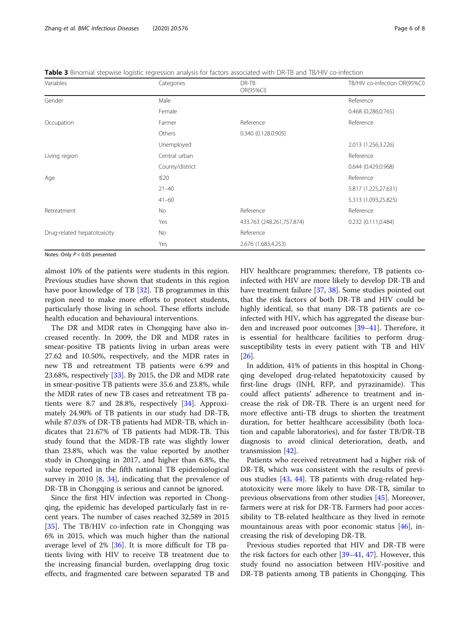<span id="page-5-0"></span>Table 3 Binomial stepwise logistic regression analysis for factors associated with DR-TB and TB/HIV co-infection

| Variables                   | Categories      | DR-TB<br>OR(95%CI)        | TB/HIV co-infection OR(95%CI) |
|-----------------------------|-----------------|---------------------------|-------------------------------|
| Gender                      | Male            |                           | Reference                     |
|                             | Female          |                           | 0.468 (0.286,0.765)           |
| Occupation                  | Farmer          | Reference                 | Reference                     |
|                             | Others          | 0.340 (0.128.0.905)       |                               |
|                             | Unemployed      |                           | 2.013 (1.256,3.226)           |
| Living region               | Central urban   |                           | Reference                     |
|                             | County/district |                           | 0.644 (0.429,0.968)           |
| Age                         | $\leq$ 20       |                           | Reference                     |
|                             | $21 - 40$       |                           | 5.817 (1.225,27.631)          |
|                             | $41 - 60$       |                           | 5.313 (1.093,25.825)          |
| Retreatment                 | <b>No</b>       | Reference                 | Reference                     |
|                             | Yes             | 433.763 (248.261,757.874) | 0.232 (0.111,0.484)           |
| Drug-related hepatotoxicity | No              | Reference                 |                               |
|                             | Yes             | 2.676 (1.683,4.253)       |                               |

Notes: Only P < 0.05 presented

almost 10% of the patients were students in this region. Previous studies have shown that students in this region have poor knowledge of TB [[32\]](#page-7-0). TB programmes in this region need to make more efforts to protect students, particularly those living in school. These efforts include health education and behavioural interventions.

The DR and MDR rates in Chongqing have also increased recently. In 2009, the DR and MDR rates in smear-positive TB patients living in urban areas were 27.62 and 10.50%, respectively, and the MDR rates in new TB and retreatment TB patients were 6.99 and 23.68%, respectively  $[33]$  $[33]$ . By 2015, the DR and MDR rate in smear-positive TB patients were 35.6 and 23.8%, while the MDR rates of new TB cases and retreatment TB patients were 8.7 and 28.8%, respectively [\[34\]](#page-7-0). Approximately 24.90% of TB patients in our study had DR-TB, while 87.03% of DR-TB patients had MDR-TB, which indicates that 21.67% of TB patients had MDR-TB. This study found that the MDR-TB rate was slightly lower than 23.8%, which was the value reported by another study in Chongqing in 2017, and higher than 6.8%, the value reported in the fifth national TB epidemiological survey in 2010  $[8, 34]$  $[8, 34]$  $[8, 34]$  $[8, 34]$ , indicating that the prevalence of DR-TB in Chongqing is serious and cannot be ignored.

Since the first HIV infection was reported in Chongqing, the epidemic has developed particularly fast in recent years. The number of cases reached 32,589 in 2015 [[35\]](#page-7-0). The TB/HIV co-infection rate in Chongqing was 6% in 2015, which was much higher than the national average level of 2% [[36](#page-7-0)]. It is more difficult for TB patients living with HIV to receive TB treatment due to the increasing financial burden, overlapping drug toxic effects, and fragmented care between separated TB and HIV healthcare programmes; therefore, TB patients coinfected with HIV are more likely to develop DR-TB and have treatment failure [\[37,](#page-7-0) [38\]](#page-7-0). Some studies pointed out that the risk factors of both DR-TB and HIV could be highly identical, so that many DR-TB patients are coinfected with HIV, which has aggregated the disease burden and increased poor outcomes [\[39](#page-7-0)–[41\]](#page-7-0). Therefore, it is essential for healthcare facilities to perform drugsusceptibility tests in every patient with TB and HIV [[26\]](#page-7-0).

In addition, 41% of patients in this hospital in Chongqing developed drug-related hepatotoxicity caused by first-line drugs (INH, RFP, and pyrazinamide). This could affect patients' adherence to treatment and increase the risk of DR-TB. There is an urgent need for more effective anti-TB drugs to shorten the treatment duration, for better healthcare accessibility (both location and capable laboratories), and for faster TB/DR-TB diagnosis to avoid clinical deterioration, death, and transmission [[42](#page-7-0)].

Patients who received retreatment had a higher risk of DR-TB, which was consistent with the results of previous studies [[43,](#page-7-0) [44](#page-7-0)]. TB patients with drug-related hepatotoxicity were more likely to have DR-TB, similar to previous observations from other studies [\[45](#page-7-0)]. Moreover, farmers were at risk for DR-TB. Farmers had poor accessibility to TB-related healthcare as they lived in remote mountainous areas with poor economic status  $[46]$  $[46]$  $[46]$ , increasing the risk of developing DR-TB.

Previous studies reported that HIV and DR-TB were the risk factors for each other [\[39](#page-7-0)–[41,](#page-7-0) [47\]](#page-7-0). However, this study found no association between HIV-positive and DR-TB patients among TB patients in Chongqing. This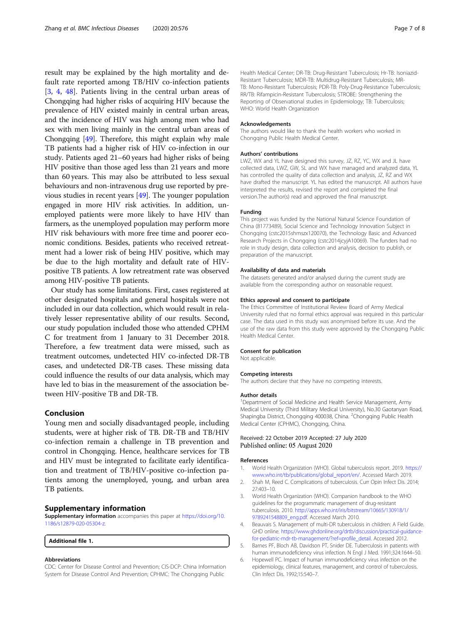<span id="page-6-0"></span>result may be explained by the high mortality and default rate reported among TB/HIV co-infection patients [3, 4, [48\]](#page-7-0). Patients living in the central urban areas of Chongqing had higher risks of acquiring HIV because the prevalence of HIV existed mainly in central urban areas, and the incidence of HIV was high among men who had sex with men living mainly in the central urban areas of Chongqing [\[49\]](#page-7-0). Therefore, this might explain why male TB patients had a higher risk of HIV co-infection in our study. Patients aged 21–60 years had higher risks of being HIV positive than those aged less than 21 years and more than 60 years. This may also be attributed to less sexual behaviours and non-intravenous drug use reported by previous studies in recent years [\[49](#page-7-0)]. The younger population engaged in more HIV risk activities. In addition, unemployed patients were more likely to have HIV than farmers, as the unemployed population may perform more HIV risk behaviours with more free time and poorer economic conditions. Besides, patients who received retreatment had a lower risk of being HIV positive, which may be due to the high mortality and default rate of HIVpositive TB patients. A low retreatment rate was observed among HIV-positive TB patients.

Our study has some limitations. First, cases registered at other designated hospitals and general hospitals were not included in our data collection, which would result in relatively lesser representative ability of our results. Second, our study population included those who attended CPHM C for treatment from 1 January to 31 December 2018. Therefore, a few treatment data were missed, such as treatment outcomes, undetected HIV co-infected DR-TB cases, and undetected DR-TB cases. These missing data could influence the results of our data analysis, which may have led to bias in the measurement of the association between HIV-positive TB and DR-TB.

# Conclusion

Young men and socially disadvantaged people, including students, were at higher risk of TB. DR-TB and TB/HIV co-infection remain a challenge in TB prevention and control in Chongqing. Hence, healthcare services for TB and HIV must be integrated to facilitate early identification and treatment of TB/HIV-positive co-infection patients among the unemployed, young, and urban area TB patients.

#### Supplementary information

Supplementary information accompanies this paper at [https://doi.org/10.](https://doi.org/10.1186/s12879-020-05304-z) [1186/s12879-020-05304-z.](https://doi.org/10.1186/s12879-020-05304-z)

Additional file 1.

#### Abbreviations

CDC: Center for Disease Control and Prevention; CIS-DCP: China Information System for Disease Control And Prevention; CPHMC: The Chongqing Public

Health Medical Center; DR-TB: Drug-Resistant Tuberculosis; Hr-TB: Isoniazid-Resistant Tuberculosis; MDR-TB: Multidrug-Resistant Tuberculosis; MR-TB: Mono-Resistant Tuberculosis; PDR-TB: Poly-Drug-Resistance Tuberculosis; RR/TB: Rifampicin-Resistant Tuberculosis; STROBE: Strengthening the Reporting of Observational studies in Epidemiology; TB: Tuberculosis; WHO: World Health Organization

#### Acknowledgements

The authors would like to thank the health workers who worked in Chongqing Public Health Medical Center.

#### Authors' contributions

LWZ, WX and YL have designed this survey, JZ, RZ, YC, WX and JL have collected data, LWZ, GW, SL and WX have managed and analyzed data, YL has controlled the quality of data collection and analysis, JZ, RZ and WX have drafted the manuscript. YL has edited the manuscript. All authors have interpreted the results, revised the report and completed the final version.The author(s) read and approved the final manuscript.

#### Funding

This project was funded by the National Natural Science Foundation of China (81773489), Social Science and Technology Innovation Subject in Chongqing (cstc2015shmszx120070), the Technology Basic and Advanced Research Projects in Chongqing (cstc2014jcyjA10069). The funders had no role in study design, data collection and analysis, decision to publish, or preparation of the manuscript.

#### Availability of data and materials

The datasets generated and/or analysed during the current study are available from the corresponding author on reasonable request.

#### Ethics approval and consent to participate

The Ethics Committee of Institutional Review Board of Army Medical University ruled that no formal ethics approval was required in this particular case. The data used in this study was anonymised before its use. And the use of the raw data from this study were approved by the Chongqing Public Health Medical Center.

#### Consent for publication

Not applicable.

#### Competing interests

The authors declare that they have no competing interests.

#### Author details

<sup>1</sup>Department of Social Medicine and Health Service Management, Army Medical University (Third Military Medical University), No.30 Gaotanyan Road, Shapingba District, Chongqing 400038, China. <sup>2</sup>Chongqing Public Health Medical Center (CPHMC), Chongqing, China.

## Received: 22 October 2019 Accepted: 27 July 2020 Published online: 05 August 2020

#### References

- 1. World Health Organization (WHO). Global tuberculosis report. 2019. [https://](https://www.who.int/tb/publications/global_report/en/) [www.who.int/tb/publications/global\\_report/en/](https://www.who.int/tb/publications/global_report/en/). Accessed March 2019.
- 2. Shah M, Reed C. Complications of tuberculosis. Curr Opin Infect Dis. 2014; 27:403–10.
- 3. World Health Organization (WHO). Companion handbook to the WHO guidelines for the programmatic management of drug-resistant tuberculosis. 2010. [http://apps.who.int/iris/bitstream/10665/130918/1/](http://apps.who.int/iris/bitstream/10665/130918/1/9789241548809_eng.pdf) [9789241548809\\_eng.pdf](http://apps.who.int/iris/bitstream/10665/130918/1/9789241548809_eng.pdf). Accessed March 2010.
- 4. Beauvais S. Management of multi-DR tuberculosis in children: A Field Guide. GHD online. [https://www.ghdonline.org/drtb/discussion/practical-guidance](https://www.ghdonline.org/drtb/discussion/practical-guidance-for-pediatric-mdr-tb-management/?ref=profile_detail)[for-pediatric-mdr-tb-management/?ref=profile\\_detail](https://www.ghdonline.org/drtb/discussion/practical-guidance-for-pediatric-mdr-tb-management/?ref=profile_detail). Accessed 2012.
- 5. Barnes PF, Bloch AB, Davidson PT, Snider DE. Tuberculosis in patients with human immunodeficiency virus infection. N Engl J Med. 1991;324:1644–50.
- 6. Hopewell PC. Impact of human immunodeficiency virus infection on the epidemiology, clinical features, management, and control of tuberculosis. Clin Infect Dis. 1992;15:540–7.